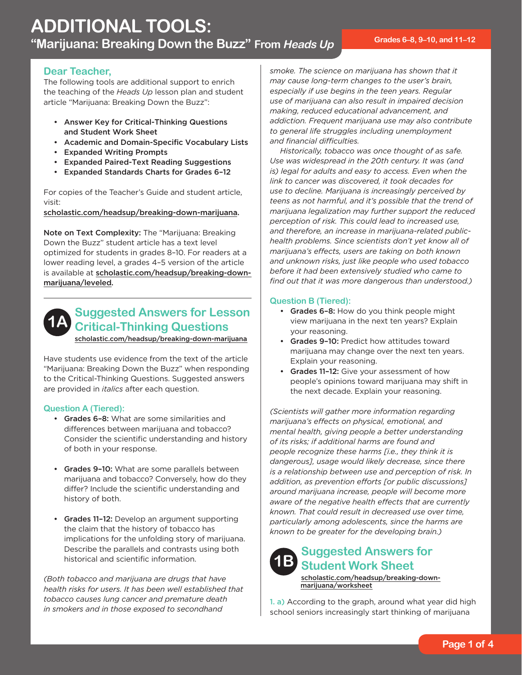### **Dear Teacher,**

The following tools are additional support to enrich the teaching of the *Heads Up* lesson plan and student article "Marijuana: Breaking Down the Buzz":

- Answer Key for Critical-Thinking Questions and Student Work Sheet
- • Academic and Domain-Specific Vocabulary Lists
- • Expanded Writing Prompts
- • Expanded Paired-Text Reading Suggestions
- • Expanded Standards Charts for Grades 6–12

For copies of the Teacher's Guide and student article, visit:

[scholastic.com/headsup/breaking-down-marijuana.](http://scholastic.com/headsup/breaking-down-marijuana)

Note on Text Complexity: The "Marijuana: Breaking Down the Buzz" student article has a text level optimized for students in grades 8–10. For readers at a lower reading level, a grades 4–5 version of the article is available at [scholastic.com/headsup/breaking-down](http://scholastic.com/headsup/breaking-down-marijuana/leveled)marijuana/leveled.



## **Suggested Answers for Lesson Critical-Thinking Questions**  [scholastic.com/headsup/breaking-down-marijuana](http://scholastic.com/headsup/breaking-down-marijuana)

Have students use evidence from the text of the article

"Marijuana: Breaking Down the Buzz" when responding to the Critical-Thinking Questions. Suggested answers are provided in *italics* after each question.

### **Question A (Tiered):**

- Grades 6-8: What are some similarities and differences between marijuana and tobacco? Consider the scientific understanding and history of both in your response.
- Grades 9-10: What are some parallels between marijuana and tobacco? Conversely, how do they differ? Include the scientific understanding and history of both.
- Grades 11-12: Develop an argument supporting the claim that the history of tobacco has implications for the unfolding story of marijuana. Describe the parallels and contrasts using both historical and scientific information.

*(Both tobacco and marijuana are drugs that have health risks for users. It has been well established that tobacco causes lung cancer and premature death in smokers and in those exposed to secondhand* 

and financial difficulties. *smoke. The science on marijuana has shown that it may cause long-term changes to the user's brain, especially if use begins in the teen years. Regular use of marijuana can also result in impaired decision making, reduced educational advancement, and addiction. Frequent marijuana use may also contribute to general life struggles including unemployment* 

Historically, tobacco was once thought of as safe. *Use was widespread in the 20th century. It was (and is) legal for adults and easy to access. Even when the link to cancer was discovered, it took decades for use to decline. Marijuana is increasingly perceived by teens as not harmful, and it's possible that the trend of marijuana legalization may further support the reduced perception of risk. This could lead to increased use, and therefore, an increase in marijuana-related publichealth problems. Since scientists don't yet know all of marijuana's effects, users are taking on both known and unknown risks, just like people who used tobacco before it had been extensively studied who came to find out that it was more dangerous than understood.)* 

### **Question B (Tiered):**

- Grades 6-8: How do you think people might view marijuana in the next ten years? Explain your reasoning.
- Grades 9-10: Predict how attitudes toward marijuana may change over the next ten years. Explain your reasoning.
- Grades 11-12: Give your assessment of how people's opinions toward marijuana may shift in the next decade. Explain your reasoning.

*(Scientists will gather more information regarding marijuana's effects on physical, emotional, and mental health, giving people a better understanding of its risks; if additional harms are found and people recognize these harms [i.e., they think it is dangerous], usage would likely decrease, since there is a relationship between use and perception of risk. In addition, as prevention efforts [or public discussions] around marijuana increase, people will become more aware of the negative health effects that are currently known. That could result in decreased use over time, particularly among adolescents, since the harms are known to be greater for the developing brain.)* 



[scholastic.com/headsup/breaking-down](http://scholastic.com/headsup/breaking-down-marijuana/worksheet)marijuana/worksheet

1. a) According to the graph, around what year did high school seniors increasingly start thinking of marijuana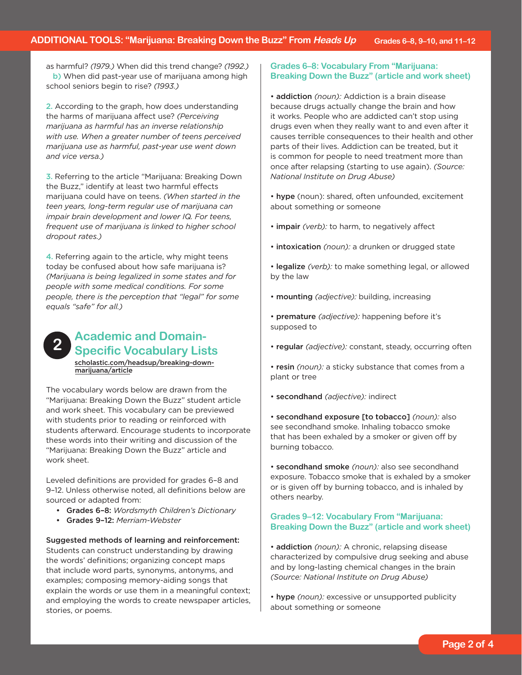as harmful? *(1979.)* When did this trend change? *(1992.)*  school seniors begin to rise? *(1993.)* b) When did past-year use of marijuana among high

2. According to the graph, how does understanding the harms of marijuana affect use? *(Perceiving marijuana as harmful has an inverse relationship with use. When a greater number of teens perceived marijuana use as harmful, past-year use went down and vice versa.)* 

3. Referring to the article "Marijuana: Breaking Down the Buzz," identify at least two harmful effects marijuana could have on teens. *(When started in the teen years, long-term regular use of marijuana can impair brain development and lower IQ. For teens, frequent use of marijuana is linked to higher school dropout rates.)* 

4. Referring again to the article, why might teens today be confused about how safe marijuana is? *(Marijuana is being legalized in some states and for people with some medical conditions. For some people, there is the perception that "legal" for some equals "safe" for all.)* 

# **Academic and Domain- 2 Specific Vocabulary Lists**

[scholastic.com/headsup/breaking-down](http://scholastic.com/headsup/breaking-down-marijuana/article)marijuana/article

The vocabulary words below are drawn from the "Marijuana: Breaking Down the Buzz" student article and work sheet. This vocabulary can be previewed with students prior to reading or reinforced with students afterward. Encourage students to incorporate these words into their writing and discussion of the "Marijuana: Breaking Down the Buzz" article and work sheet.

Leveled definitions are provided for grades 6–8 and 9–12. Unless otherwise noted, all definitions below are sourced or adapted from:

- • Grades 6–8: *Wordsmyth Children's Dictionary*
- • Grades 9–12: *Merriam-Webster*

 Suggested methods of learning and reinforcement: Students can construct understanding by drawing the words' definitions; organizing concept maps that include word parts, synonyms, antonyms, and examples; composing memory-aiding songs that explain the words or use them in a meaningful context; and employing the words to create newspaper articles, stories, or poems.

#### **Grades 6–8: Vocabulary From "Marijuana: Breaking Down the Buzz" (article and work sheet)**

• addiction *(noun):* Addiction is a brain disease because drugs actually change the brain and how it works. People who are addicted can't stop using drugs even when they really want to and even after it causes terrible consequences to their health and other parts of their lives. Addiction can be treated, but it is common for people to need treatment more than once after relapsing (starting to use again). *(Source: National Institute on Drug Abuse)* 

• hype (noun): shared, often unfounded, excitement about something or someone

- impair *(verb):* to harm, to negatively affect
- intoxication *(noun):* a drunken or drugged state
- legalize *(verb):* to make something legal, or allowed by the law
- mounting *(adjective):* building, increasing
- premature *(adjective):* happening before it's supposed to
- regular *(adjective):* constant, steady, occurring often
- resin *(noun):* a sticky substance that comes from a plant or tree
- secondhand *(adjective):* indirect

 • secondhand exposure [to tobacco] *(noun):* also see secondhand smoke. Inhaling tobacco smoke that has been exhaled by a smoker or given off by burning tobacco.

• secondhand smoke *(noun):* also see secondhand exposure. Tobacco smoke that is exhaled by a smoker or is given off by burning tobacco, and is inhaled by others nearby.

#### **Grades 9–12: Vocabulary From "Marijuana: Breaking Down the Buzz" (article and work sheet)**

• addiction *(noun):* A chronic, relapsing disease characterized by compulsive drug seeking and abuse and by long-lasting chemical changes in the brain *(Source: National Institute on Drug Abuse)* 

• hype *(noun):* excessive or unsupported publicity about something or someone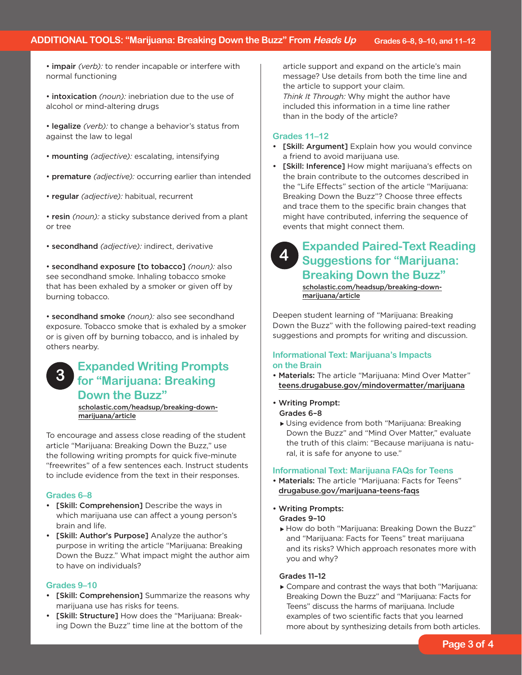- impair *(verb):* to render incapable or interfere with normal functioning
- intoxication *(noun):* inebriation due to the use of alcohol or mind-altering drugs
- legalize *(verb):* to change a behavior's status from against the law to legal
- mounting *(adjective):* escalating, intensifying
- premature *(adjective):* occurring earlier than intended
- regular *(adjective):* habitual, recurrent
- resin *(noun):* a sticky substance derived from a plant or tree
- secondhand *(adjective):* indirect, derivative

 • secondhand exposure [to tobacco] *(noun):* also see secondhand smoke. Inhaling tobacco smoke that has been exhaled by a smoker or given off by burning tobacco.

• secondhand smoke *(noun):* also see secondhand exposure. Tobacco smoke that is exhaled by a smoker or is given off by burning tobacco, and is inhaled by others nearby.

**Expanded Writing Prompts for "Marijuana: Breaking Down the Buzz" 3** 

[scholastic.com/headsup/breaking-down](http://scholastic.com/headsup/breaking-down-marijuana/article)marijuana/article

To encourage and assess close reading of the student article "Marijuana: Breaking Down the Buzz," use the following writing prompts for quick five-minute "freewrites" of a few sentences each. Instruct students to include evidence from the text in their responses.

#### **Grades 6–8**

- • [Skill: Comprehension] Describe the ways in which marijuana use can affect a young person's brain and life.
- [Skill: Author's Purpose] Analyze the author's purpose in writing the article "Marijuana: Breaking Down the Buzz." What impact might the author aim to have on individuals?

#### **Grades 9–10**

- [Skill: Comprehension] Summarize the reasons why marijuana use has risks for teens.
- • [Skill: Structure] How does the "Marijuana: Breaking Down the Buzz" time line at the bottom of the

article support and expand on the article's main message? Use details from both the time line and the article to support your claim. *Think It Through:* Why might the author have included this information in a time line rather than in the body of the article?

#### **Grades 11–12**

- [Skill: Argument] Explain how you would convince a friend to avoid marijuana use.
- [Skill: Inference] How might marijuana's effects on the brain contribute to the outcomes described in the "Life Effects" section of the article "Marijuana: Breaking Down the Buzz"? Choose three effects and trace them to the specific brain changes that might have contributed, inferring the sequence of events that might connect them.

# **4**

## **Expanded Paired-Text Reading Suggestions for "Marijuana: Breaking Down the Buzz"**

[scholastic.com/headsup/breaking-down](http://scholastic.com/headsup/breaking-down-marijuana/article)marijuana/article

Deepen student learning of "Marijuana: Breaking Down the Buzz" with the following paired-text reading suggestions and prompts for writing and discussion.

### **Informational Text: Marijuana's Impacts on the Brain**

- Materials: The article "Marijuana: Mind Over Matter" [teens.drugabuse.gov/mindovermatter/marijuana](http://teens.drugabuse.gov/mindovermatter/marijuana)
- Writing Prompt: Grades 6–8
	- Using evidence from both "Marijuana: Breaking Down the Buzz" and "Mind Over Matter," evaluate the truth of this claim: "Because marijuana is natural, it is safe for anyone to use."

#### **Informational Text: Marijuana FAQs for Teens**

- Materials: The article "Marijuana: Facts for Teens" [drugabuse.gov/marijuana-teens-faqs](http://drugabuse.gov/marijuana-teens-faqs)
- Writing Prompts:

#### Grades 9–10

How do both "Marijuana: Breaking Down the Buzz" and "Marijuana: Facts for Teens" treat marijuana and its risks? Which approach resonates more with you and why?

#### Grades 11–12

Compare and contrast the ways that both "Marijuana: Breaking Down the Buzz" and "Marijuana: Facts for Teens" discuss the harms of marijuana. Include examples of two scientific facts that you learned more about by synthesizing details from both articles.